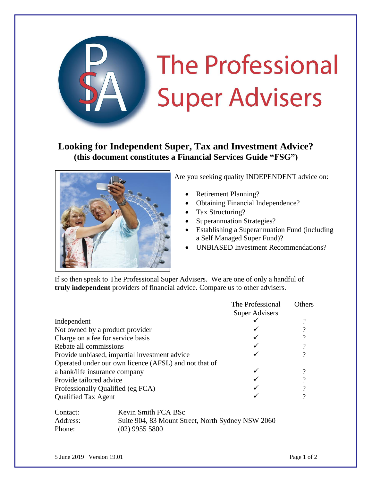

## **Looking for Independent Super, Tax and Investment Advice? (this document constitutes a Financial Services Guide "FSG")**



Are you seeking quality INDEPENDENT advice on:

- Retirement Planning?
- Obtaining Financial Independence?
- Tax Structuring?
- Superannuation Strategies?
- Establishing a Superannuation Fund (including a Self Managed Super Fund)?
- UNBIASED Investment Recommendations?

If so then speak to The Professional Super Advisers. We are one of only a handful of **truly independent** providers of financial advice. Compare us to other advisers.

|                                                       | The Professional<br>Super Advisers | <b>Others</b> |
|-------------------------------------------------------|------------------------------------|---------------|
| Independent                                           |                                    |               |
| Not owned by a product provider                       |                                    |               |
| Charge on a fee for service basis                     |                                    |               |
| Rebate all commissions                                |                                    |               |
| Provide unbiased, impartial investment advice         |                                    |               |
| Operated under our own licence (AFSL) and not that of |                                    |               |
| a bank/life insurance company                         |                                    |               |
| Provide tailored advice                               |                                    |               |
| Professionally Qualified (eg FCA)                     |                                    |               |
| <b>Qualified Tax Agent</b>                            |                                    |               |

| Contact: | Kevin Smith FCA BSc                               |
|----------|---------------------------------------------------|
| Address: | Suite 904, 83 Mount Street, North Sydney NSW 2060 |
| Phone:   | $(02)$ 9955 5800                                  |